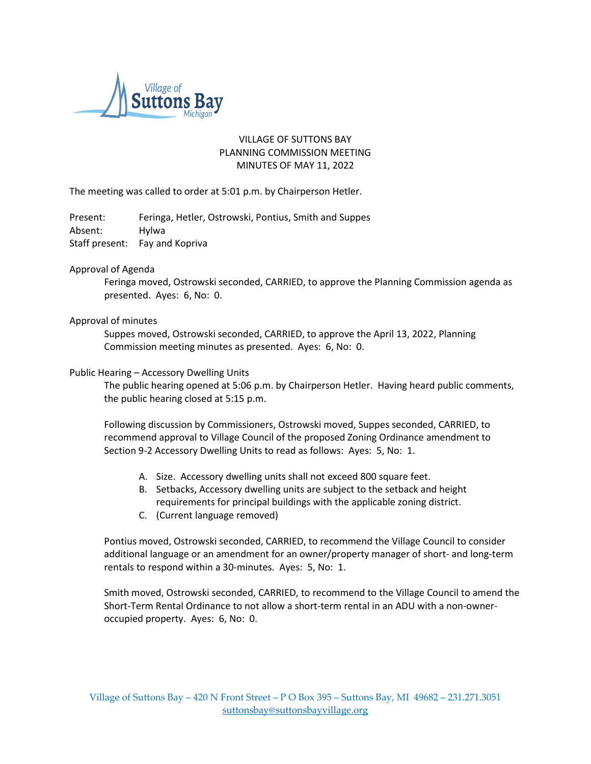

# VILLAGE OF SUTTONS BAY PLANNING COMMISSION MEETING MINUTES OF MAY 11, 2022

The meeting was called to order at 5:01 p.m. by Chairperson Hetler.

Present: Feringa, Hetler, Ostrowski, Pontius, Smith and Suppes Absent: Hylwa Staff present: Fay and Kopriva

### Approval of Agenda

Feringa moved, Ostrowski seconded, CARRIED, to approve the Planning Commission agenda as presented. Ayes: 6, No: 0.

## Approval of minutes

Suppes moved, Ostrowski seconded, CARRIED, to approve the April 13, 2022, Planning Commission meeting minutes as presented. Ayes: 6, No: 0.

### Public Hearing – Accessory Dwelling Units

The public hearing opened at 5:06 p.m. by Chairperson Hetler. Having heard public comments, the public hearing closed at 5:15 p.m.

Following discussion by Commissioners, Ostrowski moved, Suppes seconded, CARRIED, to recommend approval to Village Council of the proposed Zoning Ordinance amendment to Section 9-2 Accessory Dwelling Units to read as follows: Ayes: 5, No: 1.

- A. Size. Accessory dwelling units shall not exceed 800 square feet.
- B. Setbacks, Accessory dwelling units are subject to the setback and height requirements for principal buildings with the applicable zoning district.
- C. (Current language removed)

Pontius moved, Ostrowski seconded, CARRIED, to recommend the Village Council to consider additional language or an amendment for an owner/property manager of short- and long-term rentals to respond within a 30-minutes. Ayes: 5, No: 1.

Smith moved, Ostrowski seconded, CARRIED, to recommend to the Village Council to amend the Short-Term Rental Ordinance to not allow a short-term rental in an ADU with a non-owneroccupied property. Ayes: 6, No: 0.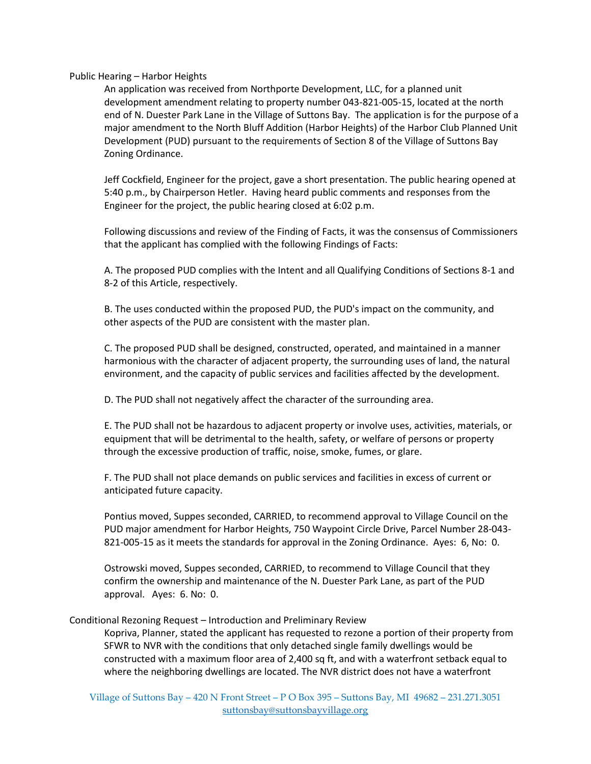### Public Hearing – Harbor Heights

An application was received from Northporte Development, LLC, for a planned unit development amendment relating to property number 043-821-005-15, located at the north end of N. Duester Park Lane in the Village of Suttons Bay. The application is for the purpose of a major amendment to the North Bluff Addition (Harbor Heights) of the Harbor Club Planned Unit Development (PUD) pursuant to the requirements of Section 8 of the Village of Suttons Bay Zoning Ordinance.

Jeff Cockfield, Engineer for the project, gave a short presentation. The public hearing opened at 5:40 p.m., by Chairperson Hetler. Having heard public comments and responses from the Engineer for the project, the public hearing closed at 6:02 p.m.

Following discussions and review of the Finding of Facts, it was the consensus of Commissioners that the applicant has complied with the following Findings of Facts:

A. The proposed PUD complies with the Intent and all Qualifying Conditions of Sections 8-1 and 8-2 of this Article, respectively.

B. The uses conducted within the proposed PUD, the PUD's impact on the community, and other aspects of the PUD are consistent with the master plan.

C. The proposed PUD shall be designed, constructed, operated, and maintained in a manner harmonious with the character of adjacent property, the surrounding uses of land, the natural environment, and the capacity of public services and facilities affected by the development.

D. The PUD shall not negatively affect the character of the surrounding area.

E. The PUD shall not be hazardous to adjacent property or involve uses, activities, materials, or equipment that will be detrimental to the health, safety, or welfare of persons or property through the excessive production of traffic, noise, smoke, fumes, or glare.

F. The PUD shall not place demands on public services and facilities in excess of current or anticipated future capacity.

Pontius moved, Suppes seconded, CARRIED, to recommend approval to Village Council on the PUD major amendment for Harbor Heights, 750 Waypoint Circle Drive, Parcel Number 28-043- 821-005-15 as it meets the standards for approval in the Zoning Ordinance. Ayes: 6, No: 0.

Ostrowski moved, Suppes seconded, CARRIED, to recommend to Village Council that they confirm the ownership and maintenance of the N. Duester Park Lane, as part of the PUD approval. Ayes: 6. No: 0.

Conditional Rezoning Request – Introduction and Preliminary Review

Kopriva, Planner, stated the applicant has requested to rezone a portion of their property from SFWR to NVR with the conditions that only detached single family dwellings would be constructed with a maximum floor area of 2,400 sq ft, and with a waterfront setback equal to where the neighboring dwellings are located. The NVR district does not have a waterfront